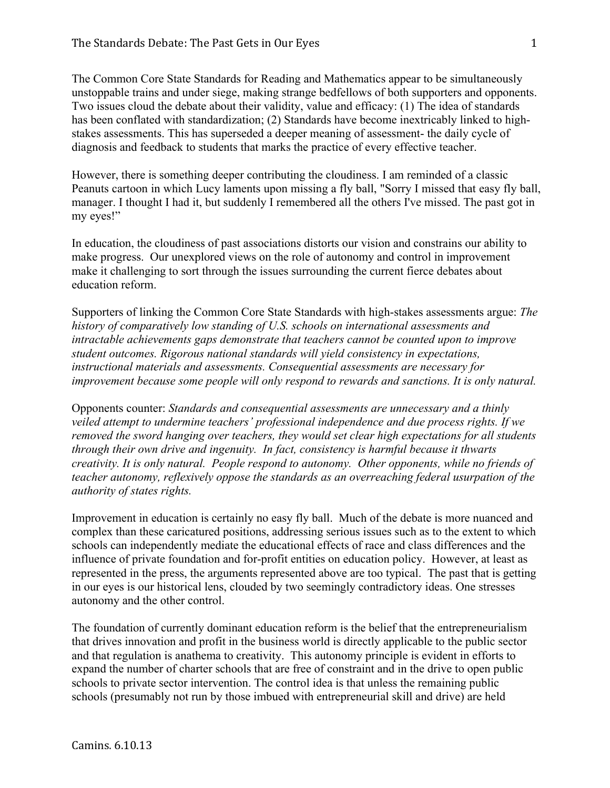The Common Core State Standards for Reading and Mathematics appear to be simultaneously unstoppable trains and under siege, making strange bedfellows of both supporters and opponents. Two issues cloud the debate about their validity, value and efficacy: (1) The idea of standards has been conflated with standardization; (2) Standards have become inextricably linked to highstakes assessments. This has superseded a deeper meaning of assessment- the daily cycle of diagnosis and feedback to students that marks the practice of every effective teacher.

However, there is something deeper contributing the cloudiness. I am reminded of a classic Peanuts cartoon in which Lucy laments upon missing a fly ball, "Sorry I missed that easy fly ball, manager. I thought I had it, but suddenly I remembered all the others I've missed. The past got in my eyes!"

In education, the cloudiness of past associations distorts our vision and constrains our ability to make progress. Our unexplored views on the role of autonomy and control in improvement make it challenging to sort through the issues surrounding the current fierce debates about education reform.

Supporters of linking the Common Core State Standards with high-stakes assessments argue: *The history of comparatively low standing of U.S. schools on international assessments and intractable achievements gaps demonstrate that teachers cannot be counted upon to improve student outcomes. Rigorous national standards will yield consistency in expectations, instructional materials and assessments. Consequential assessments are necessary for improvement because some people will only respond to rewards and sanctions. It is only natural.*

Opponents counter: *Standards and consequential assessments are unnecessary and a thinly veiled attempt to undermine teachers' professional independence and due process rights. If we removed the sword hanging over teachers, they would set clear high expectations for all students through their own drive and ingenuity. In fact, consistency is harmful because it thwarts creativity. It is only natural. People respond to autonomy. Other opponents, while no friends of teacher autonomy, reflexively oppose the standards as an overreaching federal usurpation of the authority of states rights.*

Improvement in education is certainly no easy fly ball. Much of the debate is more nuanced and complex than these caricatured positions, addressing serious issues such as to the extent to which schools can independently mediate the educational effects of race and class differences and the influence of private foundation and for-profit entities on education policy. However, at least as represented in the press, the arguments represented above are too typical. The past that is getting in our eyes is our historical lens, clouded by two seemingly contradictory ideas. One stresses autonomy and the other control.

The foundation of currently dominant education reform is the belief that the entrepreneurialism that drives innovation and profit in the business world is directly applicable to the public sector and that regulation is anathema to creativity. This autonomy principle is evident in efforts to expand the number of charter schools that are free of constraint and in the drive to open public schools to private sector intervention. The control idea is that unless the remaining public schools (presumably not run by those imbued with entrepreneurial skill and drive) are held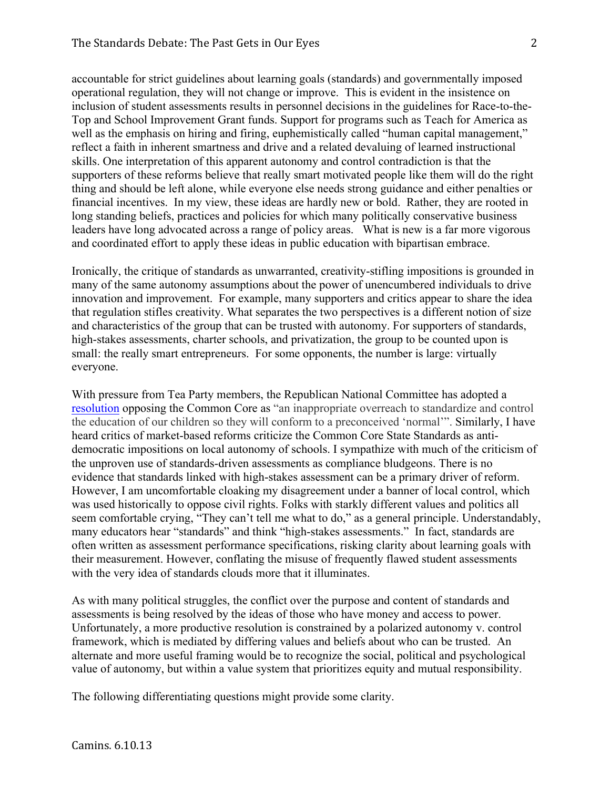accountable for strict guidelines about learning goals (standards) and governmentally imposed operational regulation, they will not change or improve. This is evident in the insistence on inclusion of student assessments results in personnel decisions in the guidelines for Race-to-the-Top and School Improvement Grant funds. Support for programs such as Teach for America as well as the emphasis on hiring and firing, euphemistically called "human capital management," reflect a faith in inherent smartness and drive and a related devaluing of learned instructional skills. One interpretation of this apparent autonomy and control contradiction is that the supporters of these reforms believe that really smart motivated people like them will do the right thing and should be left alone, while everyone else needs strong guidance and either penalties or financial incentives. In my view, these ideas are hardly new or bold. Rather, they are rooted in long standing beliefs, practices and policies for which many politically conservative business leaders have long advocated across a range of policy areas. What is new is a far more vigorous and coordinated effort to apply these ideas in public education with bipartisan embrace.

Ironically, the critique of standards as unwarranted, creativity-stifling impositions is grounded in many of the same autonomy assumptions about the power of unencumbered individuals to drive innovation and improvement. For example, many supporters and critics appear to share the idea that regulation stifles creativity. What separates the two perspectives is a different notion of size and characteristics of the group that can be trusted with autonomy. For supporters of standards, high-stakes assessments, charter schools, and privatization, the group to be counted upon is small: the really smart entrepreneurs. For some opponents, the number is large: virtually everyone.

With pressure from Tea Party members, the Republican National Committee has adopted a resolution opposing the Common Core as "an inappropriate overreach to standardize and control the education of our children so they will conform to a preconceived 'normal'". Similarly, I have heard critics of market-based reforms criticize the Common Core State Standards as antidemocratic impositions on local autonomy of schools. I sympathize with much of the criticism of the unproven use of standards-driven assessments as compliance bludgeons. There is no evidence that standards linked with high-stakes assessment can be a primary driver of reform. However, I am uncomfortable cloaking my disagreement under a banner of local control, which was used historically to oppose civil rights. Folks with starkly different values and politics all seem comfortable crying, "They can't tell me what to do," as a general principle. Understandably, many educators hear "standards" and think "high-stakes assessments." In fact, standards are often written as assessment performance specifications, risking clarity about learning goals with their measurement. However, conflating the misuse of frequently flawed student assessments with the very idea of standards clouds more that it illuminates.

As with many political struggles, the conflict over the purpose and content of standards and assessments is being resolved by the ideas of those who have money and access to power. Unfortunately, a more productive resolution is constrained by a polarized autonomy v. control framework, which is mediated by differing values and beliefs about who can be trusted. An alternate and more useful framing would be to recognize the social, political and psychological value of autonomy, but within a value system that prioritizes equity and mutual responsibility.

The following differentiating questions might provide some clarity.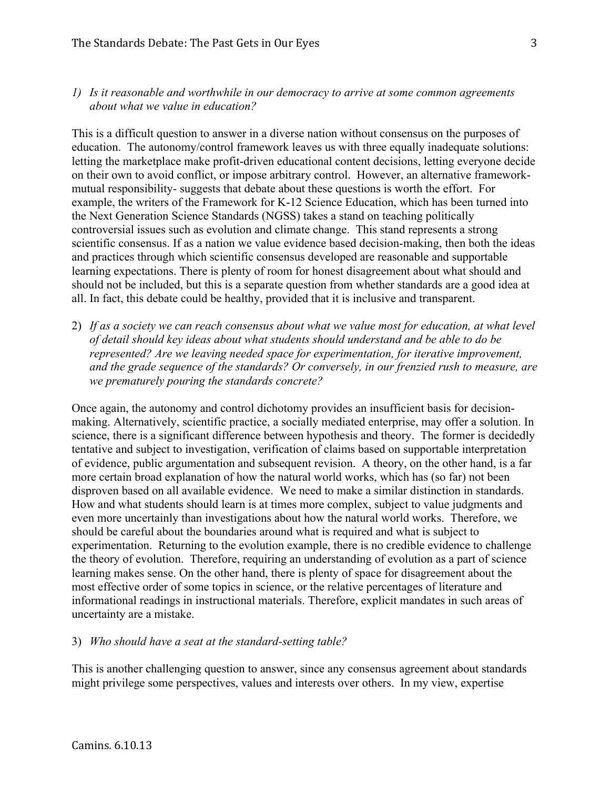## *1) Is it reasonable and worthwhile in our democracy to arrive at some common agreements about what we value in education?*

This is a difficult question to answer in a diverse nation without consensus on the purposes of education. The autonomy/control framework leaves us with three equally inadequate solutions: letting the marketplace make profit-driven educational content decisions, letting everyone decide on their own to avoid conflict, or impose arbitrary control. However, an alternative frameworkmutual responsibility- suggests that debate about these questions is worth the effort. For example, the writers of the Framework for K-12 Science Education, which has been turned into the Next Generation Science Standards (NGSS) takes a stand on teaching politically controversial issues such as evolution and climate change. This stand represents a strong scientific consensus. If as a nation we value evidence based decision-making, then both the ideas and practices through which scientific consensus developed are reasonable and supportable learning expectations. There is plenty of room for honest disagreement about what should and should not be included, but this is a separate question from whether standards are a good idea at all. In fact, this debate could be healthy, provided that it is inclusive and transparent.

2) *If as a society we can reach consensus about what we value most for education, at what level of detail should key ideas about what students should understand and be able to do be represented? Are we leaving needed space for experimentation, for iterative improvement, and the grade sequence of the standards? Or conversely, in our frenzied rush to measure, are we prematurely pouring the standards concrete?*

Once again, the autonomy and control dichotomy provides an insufficient basis for decisionmaking. Alternatively, scientific practice, a socially mediated enterprise, may offer a solution. In science, there is a significant difference between hypothesis and theory. The former is decidedly tentative and subject to investigation, verification of claims based on supportable interpretation of evidence, public argumentation and subsequent revision. A theory, on the other hand, is a far more certain broad explanation of how the natural world works, which has (so far) not been disproven based on all available evidence. We need to make a similar distinction in standards. How and what students should learn is at times more complex, subject to value judgments and even more uncertainly than investigations about how the natural world works. Therefore, we should be careful about the boundaries around what is required and what is subject to experimentation. Returning to the evolution example, there is no credible evidence to challenge the theory of evolution. Therefore, requiring an understanding of evolution as a part of science learning makes sense. On the other hand, there is plenty of space for disagreement about the most effective order of some topics in science, or the relative percentages of literature and informational readings in instructional materials. Therefore, explicit mandates in such areas of uncertainty are a mistake.

## 3) *Who should have a seat at the standard-setting table?*

This is another challenging question to answer, since any consensus agreement about standards might privilege some perspectives, values and interests over others. In my view, expertise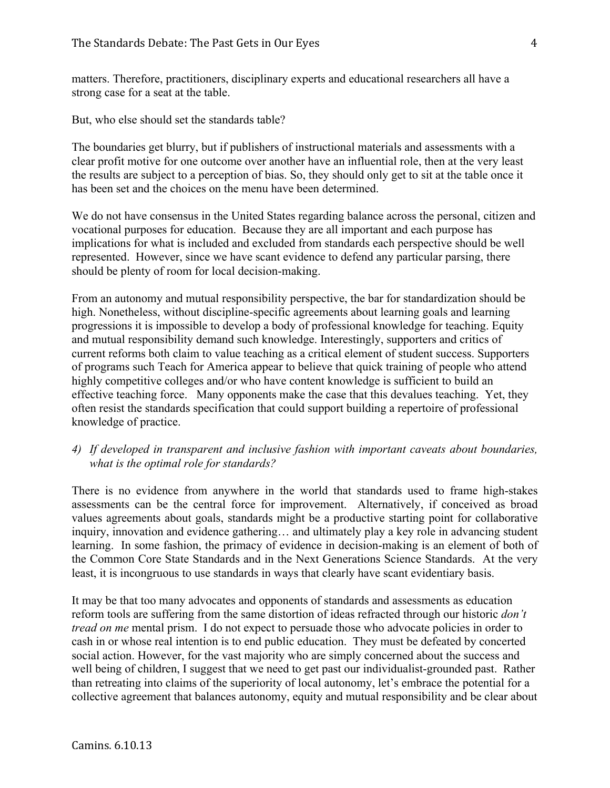matters. Therefore, practitioners, disciplinary experts and educational researchers all have a strong case for a seat at the table.

But, who else should set the standards table?

The boundaries get blurry, but if publishers of instructional materials and assessments with a clear profit motive for one outcome over another have an influential role, then at the very least the results are subject to a perception of bias. So, they should only get to sit at the table once it has been set and the choices on the menu have been determined.

We do not have consensus in the United States regarding balance across the personal, citizen and vocational purposes for education. Because they are all important and each purpose has implications for what is included and excluded from standards each perspective should be well represented. However, since we have scant evidence to defend any particular parsing, there should be plenty of room for local decision-making.

From an autonomy and mutual responsibility perspective, the bar for standardization should be high. Nonetheless, without discipline-specific agreements about learning goals and learning progressions it is impossible to develop a body of professional knowledge for teaching. Equity and mutual responsibility demand such knowledge. Interestingly, supporters and critics of current reforms both claim to value teaching as a critical element of student success. Supporters of programs such Teach for America appear to believe that quick training of people who attend highly competitive colleges and/or who have content knowledge is sufficient to build an effective teaching force. Many opponents make the case that this devalues teaching. Yet, they often resist the standards specification that could support building a repertoire of professional knowledge of practice.

## *4) If developed in transparent and inclusive fashion with important caveats about boundaries, what is the optimal role for standards?*

There is no evidence from anywhere in the world that standards used to frame high-stakes assessments can be the central force for improvement. Alternatively, if conceived as broad values agreements about goals, standards might be a productive starting point for collaborative inquiry, innovation and evidence gathering… and ultimately play a key role in advancing student learning. In some fashion, the primacy of evidence in decision-making is an element of both of the Common Core State Standards and in the Next Generations Science Standards. At the very least, it is incongruous to use standards in ways that clearly have scant evidentiary basis.

It may be that too many advocates and opponents of standards and assessments as education reform tools are suffering from the same distortion of ideas refracted through our historic *don't tread on me* mental prism. I do not expect to persuade those who advocate policies in order to cash in or whose real intention is to end public education. They must be defeated by concerted social action. However, for the vast majority who are simply concerned about the success and well being of children, I suggest that we need to get past our individualist-grounded past. Rather than retreating into claims of the superiority of local autonomy, let's embrace the potential for a collective agreement that balances autonomy, equity and mutual responsibility and be clear about